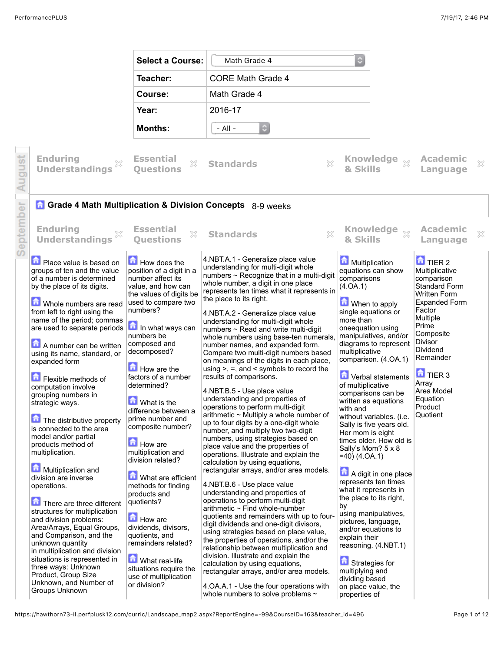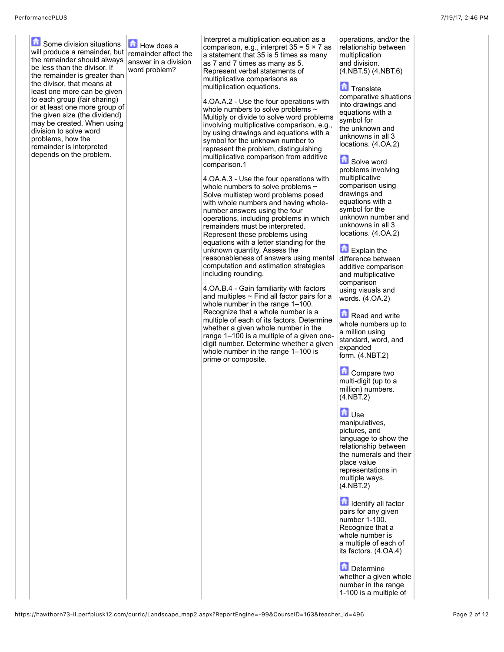**G** Some division situations will produce a remainder, but  $\vert$  remainder affect the the remainder should always be less than the divisor. If the remainder is greater than the divisor, that means at least one more can be given to each group (fair sharing) or at least one more group of the given size (the dividend) may be created. When using division to solve word problems, how the remainder is interpreted depends on the problem.

**How does a** answer in a division word problem?

Interpret a multiplication equation as a comparison, e.g., interpret  $35 = 5 \times 7$  as a statement that 35 is 5 times as many as 7 and 7 times as many as 5. Represent verbal statements of multiplicative comparisons as multiplication equations.

4.OA.A.2 - Use the four operations with whole numbers to solve problems  $\sim$ Multiply or divide to solve word problems involving multiplicative comparison, e.g., by using drawings and equations with a symbol for the unknown number to represent the problem, distinguishing multiplicative comparison from additive comparison.1

4.OA.A.3 - Use the four operations with whole numbers to solve problems  $\sim$ Solve multistep word problems posed with whole numbers and having wholenumber answers using the four operations, including problems in which remainders must be interpreted. Represent these problems using equations with a letter standing for the unknown quantity. Assess the reasonableness of answers using mental computation and estimation strategies including rounding.

4.OA.B.4 - Gain familiarity with factors and multiples  $\sim$  Find all factor pairs for a whole number in the range 1–100. Recognize that a whole number is a multiple of each of its factors. Determine whether a given whole number in the range 1–100 is a multiple of a given onedigit number. Determine whether a given whole number in the range 1–100 is prime or composite.

operations, and/or the relationship between multiplication and division. (4.NBT.5) (4.NBT.6)

**T**Translate comparative situations into drawings and equations with a symbol for the unknown and unknowns in all 3 locations. (4.OA.2)

**Solve word** problems involving multiplicative comparison using drawings and equations with a symbol for the unknown number and unknowns in all 3 locations. (4.OA.2)

Explain the difference between additive comparison and multiplicative comparison using visuals and words. (4.OA.2)

**Read and write** whole numbers up to a million using standard, word, and expanded form. (4.NBT.2)

**Compare two** multi-digit (up to a million) numbers.  $(4.NET.2)$ 

## **D**Use

manipulatives, pictures, and language to show the relationship between the numerals and their place value representations in multiple ways. (4.NBT.2)

Identify all factor pairs for any given number 1-100. Recognize that a whole number is a multiple of each of its factors. (4.OA.4)

**D**etermine whether a given whole number in the range 1-100 is a multiple of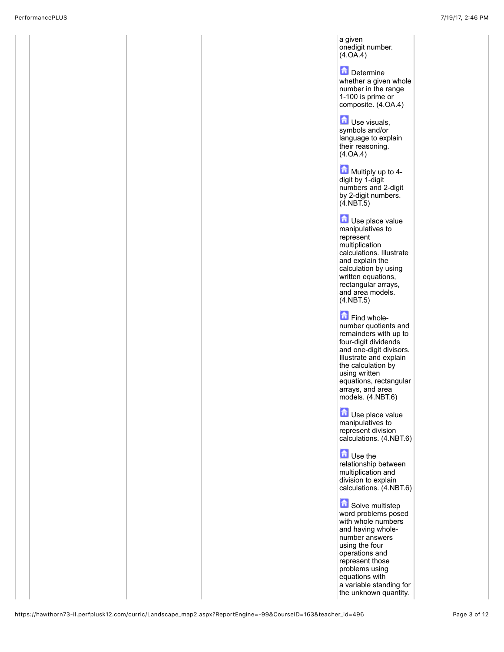a given onedigit number.  $(4.0A.4)$ 

**D** Determine whether a given whole number in the range 1-100 is prime or composite. (4.OA.4)

 $\Box$  Use visuals. symbols and/or language to explain their reasoning. (4.OA.4)

**Multiply up to 4**digit by 1-digit numbers and 2-digit by 2-digit numbers.  $(4.$ NBT $.5)$ 

**D**Use place value manipulatives to represent multiplication calculations. Illustrate and explain the calculation by using written equations, rectangular arrays, and area models. (4.NBT.5)

Find wholenumber quotients and remainders with up to four-digit dividends and one-digit divisors. Illustrate and explain the calculation by using written equations, rectangular arrays, and area models. (4.NBT.6)

**D** Use place value manipulatives to represent division calculations. (4.NBT.6)

**Let** Use the relationship between multiplication and division to explain calculations. (4.NBT.6)

**Solve multistep** word problems posed with whole numbers and having wholenumber answers using the four operations and represent those problems using equations with a variable standing for the unknown quantity.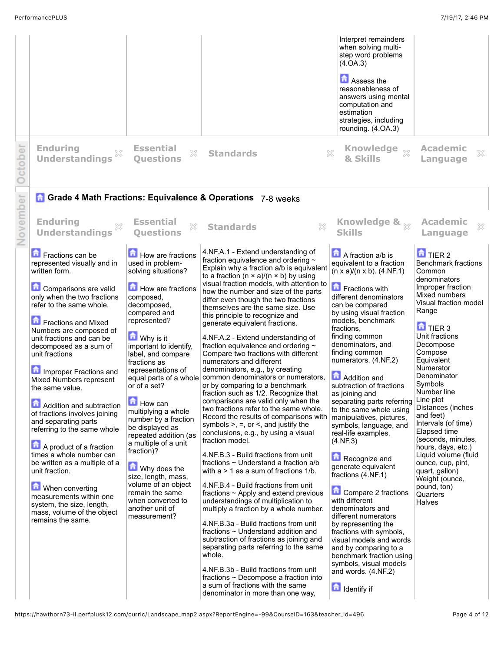|          |                                                                                                                                                                                                                                                                                                                                                                                                                                                                                                                                                                                                                                                                                                                     |                                                                                                                                                                                                                                                                                                                                                                                                                                                                                                                                                                                                 |                                                                                                                                                                                                                                                                                                                                                                                                                                                                                                                                                                                                                                                                                                                                                                                                                                                                                                                                                                                                                                                                                                                                                                                                                                                                                                                                                                                                                                                                                                                                                                                                                          | Interpret remainders<br>when solving multi-<br>step word problems<br>(4.0A.3)<br>Assess the<br>reasonableness of<br>answers using mental<br>computation and<br>estimation<br>strategies, including<br>rounding. (4.OA.3)                                                                                                                                                                                                                                                                                                                                                                                                                                                                                                                                                                                                                                                                                   |                                                                                                                                                                                                                                                                                                                                                                                                                                                                                                                                                              |
|----------|---------------------------------------------------------------------------------------------------------------------------------------------------------------------------------------------------------------------------------------------------------------------------------------------------------------------------------------------------------------------------------------------------------------------------------------------------------------------------------------------------------------------------------------------------------------------------------------------------------------------------------------------------------------------------------------------------------------------|-------------------------------------------------------------------------------------------------------------------------------------------------------------------------------------------------------------------------------------------------------------------------------------------------------------------------------------------------------------------------------------------------------------------------------------------------------------------------------------------------------------------------------------------------------------------------------------------------|--------------------------------------------------------------------------------------------------------------------------------------------------------------------------------------------------------------------------------------------------------------------------------------------------------------------------------------------------------------------------------------------------------------------------------------------------------------------------------------------------------------------------------------------------------------------------------------------------------------------------------------------------------------------------------------------------------------------------------------------------------------------------------------------------------------------------------------------------------------------------------------------------------------------------------------------------------------------------------------------------------------------------------------------------------------------------------------------------------------------------------------------------------------------------------------------------------------------------------------------------------------------------------------------------------------------------------------------------------------------------------------------------------------------------------------------------------------------------------------------------------------------------------------------------------------------------------------------------------------------------|------------------------------------------------------------------------------------------------------------------------------------------------------------------------------------------------------------------------------------------------------------------------------------------------------------------------------------------------------------------------------------------------------------------------------------------------------------------------------------------------------------------------------------------------------------------------------------------------------------------------------------------------------------------------------------------------------------------------------------------------------------------------------------------------------------------------------------------------------------------------------------------------------------|--------------------------------------------------------------------------------------------------------------------------------------------------------------------------------------------------------------------------------------------------------------------------------------------------------------------------------------------------------------------------------------------------------------------------------------------------------------------------------------------------------------------------------------------------------------|
| October  | <b>Enduring</b><br><b>Understandings</b>                                                                                                                                                                                                                                                                                                                                                                                                                                                                                                                                                                                                                                                                            | <b>Essential</b><br>$\mathbb{X}$<br><b>Ouestions</b>                                                                                                                                                                                                                                                                                                                                                                                                                                                                                                                                            | <b>Standards</b>                                                                                                                                                                                                                                                                                                                                                                                                                                                                                                                                                                                                                                                                                                                                                                                                                                                                                                                                                                                                                                                                                                                                                                                                                                                                                                                                                                                                                                                                                                                                                                                                         | Knowledge xx<br>×<br>& Skills                                                                                                                                                                                                                                                                                                                                                                                                                                                                                                                                                                                                                                                                                                                                                                                                                                                                              | <b>Academic</b><br>X<br>Language                                                                                                                                                                                                                                                                                                                                                                                                                                                                                                                             |
|          |                                                                                                                                                                                                                                                                                                                                                                                                                                                                                                                                                                                                                                                                                                                     |                                                                                                                                                                                                                                                                                                                                                                                                                                                                                                                                                                                                 | <b>Grade 4 Math Fractions: Equivalence &amp; Operations</b> 7-8 weeks                                                                                                                                                                                                                                                                                                                                                                                                                                                                                                                                                                                                                                                                                                                                                                                                                                                                                                                                                                                                                                                                                                                                                                                                                                                                                                                                                                                                                                                                                                                                                    |                                                                                                                                                                                                                                                                                                                                                                                                                                                                                                                                                                                                                                                                                                                                                                                                                                                                                                            |                                                                                                                                                                                                                                                                                                                                                                                                                                                                                                                                                              |
| November | <b>Enduring</b><br>×<br><b>Understandings</b>                                                                                                                                                                                                                                                                                                                                                                                                                                                                                                                                                                                                                                                                       | <b>Essential</b><br>X<br><b>Questions</b>                                                                                                                                                                                                                                                                                                                                                                                                                                                                                                                                                       | $\chi$<br><b>Standards</b>                                                                                                                                                                                                                                                                                                                                                                                                                                                                                                                                                                                                                                                                                                                                                                                                                                                                                                                                                                                                                                                                                                                                                                                                                                                                                                                                                                                                                                                                                                                                                                                               | Knowledge & xx<br><b>Skills</b>                                                                                                                                                                                                                                                                                                                                                                                                                                                                                                                                                                                                                                                                                                                                                                                                                                                                            | <b>Academic</b><br>X<br>Language                                                                                                                                                                                                                                                                                                                                                                                                                                                                                                                             |
|          | Fractions can be<br>represented visually and in<br>written form.<br>Comparisons are valid<br>only when the two fractions<br>refer to the same whole.<br>Fractions and Mixed<br>Numbers are composed of<br>unit fractions and can be<br>decomposed as a sum of<br>unit fractions<br>Improper Fractions and<br>Mixed Numbers represent<br>the same value.<br>Addition and subtraction<br>of fractions involves joining<br>and separating parts<br>referring to the same whole<br>A product of a fraction<br>times a whole number can<br>be written as a multiple of a<br>unit fraction.<br>When converting<br>measurements within one<br>system, the size, length,<br>mass, volume of the object<br>remains the same. | How are fractions<br>used in problem-<br>solving situations?<br>How are fractions<br>composed,<br>decomposed,<br>compared and<br>represented?<br><b>M</b> Why is it<br>important to identify,<br>label, and compare<br>fractions as<br>representations of<br>equal parts of a whole<br>or of a set?<br>$\Box$ How can<br>multiplying a whole<br>number by a fraction<br>be displayed as<br>repeated addition (as<br>a multiple of a unit<br>fraction)?<br>Why does the<br>size, length, mass,<br>volume of an object<br>remain the same<br>when converted to<br>another unit of<br>measurement? | 4.NF.A.1 - Extend understanding of<br>fraction equivalence and ordering ~<br>Explain why a fraction a/b is equivalent<br>to a fraction $(n \times a)/(n \times b)$ by using<br>visual fraction models, with attention to<br>how the number and size of the parts<br>differ even though the two fractions<br>themselves are the same size. Use<br>this principle to recognize and<br>generate equivalent fractions.<br>4.NF.A.2 - Extend understanding of<br>fraction equivalence and ordering $\sim$<br>Compare two fractions with different<br>numerators and different<br>denominators, e.g., by creating<br>common denominators or numerators,<br>or by comparing to a benchmark<br>fraction such as 1/2. Recognize that<br>comparisons are valid only when the<br>two fractions refer to the same whole.<br>Record the results of comparisons with<br>symbols $>$ , $=$ , or $\le$ , and justify the<br>conclusions, e.g., by using a visual<br>fraction model.<br>4.NF.B.3 - Build fractions from unit<br>fractions $\sim$ Understand a fraction a/b<br>with $a > 1$ as a sum of fractions $1/b$ .<br>4.NF.B.4 - Build fractions from unit<br>fractions $\sim$ Apply and extend previous<br>understandings of multiplication to<br>multiply a fraction by a whole number.<br>4.NF.B.3a - Build fractions from unit<br>fractions ~ Understand addition and<br>subtraction of fractions as joining and<br>separating parts referring to the same<br>whole.<br>4.NF.B.3b - Build fractions from unit<br>fractions ~ Decompose a fraction into<br>a sum of fractions with the same<br>denominator in more than one way, | $\blacksquare$ A fraction a/b is<br>equivalent to a fraction<br>$(n \times a)/(n \times b)$ . (4.NF.1)<br>Fractions with<br>different denominators<br>can be compared<br>by using visual fraction<br>models, benchmark<br>fractions.<br>finding common<br>denominators, and<br>finding common<br>numerators. (4.NF.2)<br><b>Addition and</b><br>subtraction of fractions<br>as joining and<br>separating parts referring<br>to the same whole using<br>manipulatives, pictures,<br>symbols, language, and<br>real-life examples.<br>(4.NF.3)<br>Recognize and<br>generate equivalent<br>fractions (4.NF.1)<br>Compare 2 fractions<br>with different<br>denominators and<br>different numerators<br>by representing the<br>fractions with symbols,<br>visual models and words<br>and by comparing to a<br>benchmark fraction using<br>symbols, visual models<br>and words. (4.NF.2)<br><b>I</b> Identify if | $\mathbf{\hat{a}}$ TIER 2<br><b>Benchmark fractions</b><br>Common<br>denominators<br>Improper fraction<br>Mixed numbers<br>Visual fraction model<br>Range<br>$\mathbf{\hat{a}}$ TIER 3<br>Unit fractions<br>Decompose<br>Compose<br>Equivalent<br>Numerator<br>Denominator<br>Symbols<br>Number line<br>Line plot<br>Distances (inches<br>and feet)<br>Intervals (of time)<br>Elapsed time<br>(seconds, minutes,<br>hours, days, etc.)<br>Liquid volume (fluid<br>ounce, cup, pint,<br>quart, gallon)<br>Weight (ounce,<br>pound, ton)<br>Quarters<br>Halves |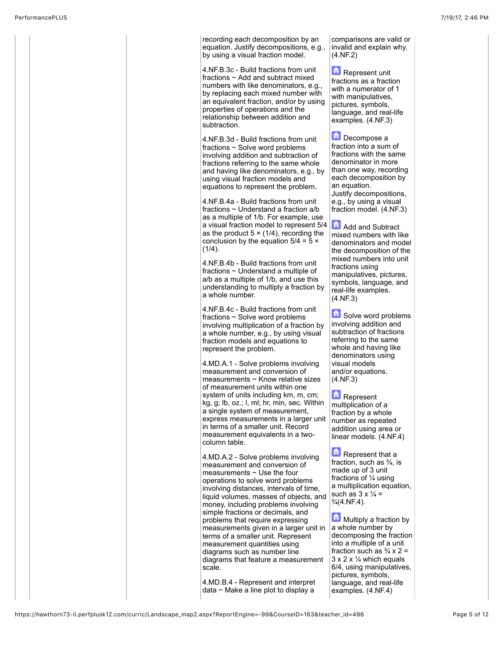

recording each decomposition by an equation. Justify decompositions, e.g., by using a visual fraction model.

4.NF.B.3c - Build fractions from unit fractions ~ Add and subtract mixed numbers with like denominators, e.g., by replacing each mixed number with an equivalent fraction, and/or by using properties of operations and the relationship between addition and subtraction.

4.NF.B.3d - Build fractions from unit fractions ~ Solve word problems involving addition and subtraction of fractions referring to the same whole and having like denominators, e.g., by using visual fraction models and equations to represent the problem.

4.NF.B.4a - Build fractions from unit fractions ~ Understand a fraction a/b as a multiple of 1/b. For example, use a visual fraction model to represent 5/4 as the product  $5 \times (1/4)$ , recording the conclusion by the equation  $5/4 = 5 \times$  $(1/4)$ .

4.NF.B.4b - Build fractions from unit fractions ~ Understand a multiple of a/b as a multiple of 1/b, and use this understanding to multiply a fraction by a whole number.

4.NF.B.4c - Build fractions from unit fractions ~ Solve word problems involving multiplication of a fraction by a whole number, e.g., by using visual fraction models and equations to represent the problem.

4.MD.A.1 - Solve problems involving measurement and conversion of measurements ~ Know relative sizes of measurement units within one system of units including km, m, cm; kg, g; lb, oz.; l, ml; hr, min, sec. Within a single system of measurement, express measurements in a larger unit in terms of a smaller unit. Record measurement equivalents in a twocolumn table.

4.MD.A.2 - Solve problems involving measurement and conversion of measurements ~ Use the four operations to solve word problems involving distances, intervals of time, liquid volumes, masses of objects, and money, including problems involving simple fractions or decimals, and problems that require expressing measurements given in a larger unit in terms of a smaller unit. Represent measurement quantities using diagrams such as number line diagrams that feature a measurement scale.

4.MD.B.4 - Represent and interpret data  $\sim$  Make a line plot to display a

comparisons are valid or invalid and explain why. (4.NF.2)

Represent unit fractions as a fraction with a numerator of 1 with manipulatives, pictures, symbols, language, and real-life examples. (4.NF.3)

**Decompose a** fraction into a sum of fractions with the same denominator in more than one way, recording each decomposition by an equation. Justify decompositions, e.g., by using a visual fraction model. (4.NF.3)

**Add and Subtract** mixed numbers with like denominators and model the decomposition of the mixed numbers into unit fractions using manipulatives, pictures, symbols, language, and real-life examples. (4.NF.3)

Solve word problems involving addition and subtraction of fractions referring to the same whole and having like denominators using visual models and/or equations. (4.NF.3)

Represent multiplication of a fraction by a whole number as repeated addition using area or linear models. (4.NF.4)

**Represent that a** fraction, such as  $\frac{3}{4}$ , is made up of 3 unit fractions of ¼ using a multiplication equation, such as  $3 \times \frac{1}{4}$  =  $\frac{3}{4}$ (4.NF.4).

**Multiply a fraction by** a whole number by decomposing the fraction into a multiple of a unit fraction such as  $\frac{3}{4} \times 2 =$  $3 \times 2 \times \frac{1}{4}$  which equals 6/4, using manipulatives, pictures, symbols, language, and real-life examples. (4.NF.4)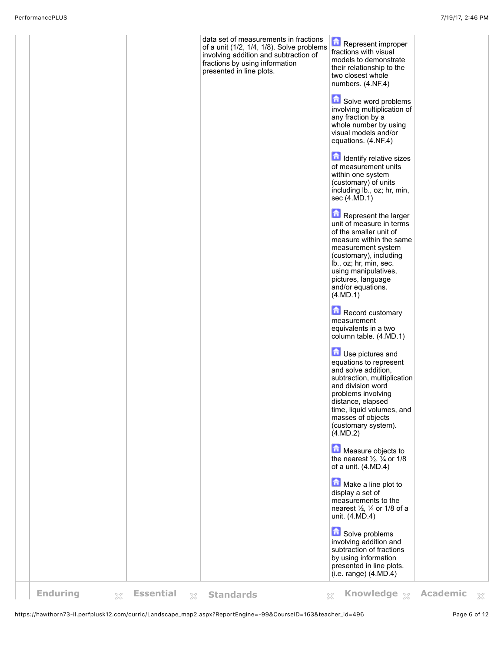

https://hawthorn73-il.perfplusk12.com/curric/Landscape\_map2.aspx?ReportEngine=-99&CourseID=163&teacher\_id=496 Page 6 of 12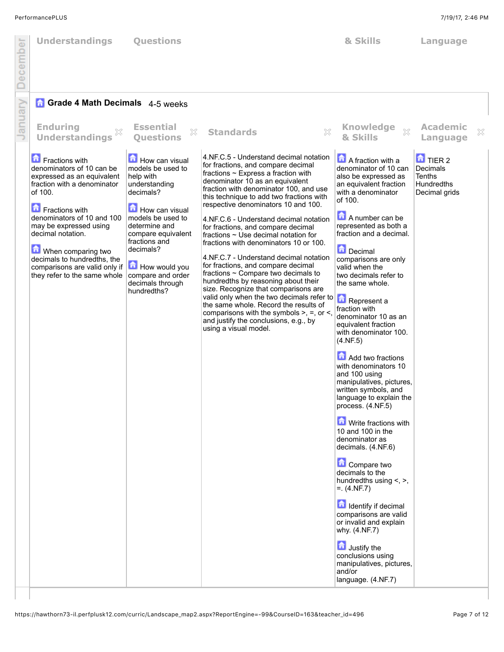| ecember<br>$\Box$ | <b>Understandings</b>                                                                                                                                                                                                                                                                                                                    | <b>Questions</b>                                                                                                                                                                                                                                                    |                                                                                                                                                                                                                                                                                                                                                                                                                                                                                                                                                                                                                                                                                                                                                                                                                                                                                              | & Skills                                                                                                                                                                                                                                                                                                                                                                                                                                                                                                                                                                                                                                                                                                                                                                                                                                                                                                                                                     | Language                                                                          |
|-------------------|------------------------------------------------------------------------------------------------------------------------------------------------------------------------------------------------------------------------------------------------------------------------------------------------------------------------------------------|---------------------------------------------------------------------------------------------------------------------------------------------------------------------------------------------------------------------------------------------------------------------|----------------------------------------------------------------------------------------------------------------------------------------------------------------------------------------------------------------------------------------------------------------------------------------------------------------------------------------------------------------------------------------------------------------------------------------------------------------------------------------------------------------------------------------------------------------------------------------------------------------------------------------------------------------------------------------------------------------------------------------------------------------------------------------------------------------------------------------------------------------------------------------------|--------------------------------------------------------------------------------------------------------------------------------------------------------------------------------------------------------------------------------------------------------------------------------------------------------------------------------------------------------------------------------------------------------------------------------------------------------------------------------------------------------------------------------------------------------------------------------------------------------------------------------------------------------------------------------------------------------------------------------------------------------------------------------------------------------------------------------------------------------------------------------------------------------------------------------------------------------------|-----------------------------------------------------------------------------------|
|                   | <b>Grade 4 Math Decimals</b> 4-5 weeks                                                                                                                                                                                                                                                                                                   |                                                                                                                                                                                                                                                                     |                                                                                                                                                                                                                                                                                                                                                                                                                                                                                                                                                                                                                                                                                                                                                                                                                                                                                              |                                                                                                                                                                                                                                                                                                                                                                                                                                                                                                                                                                                                                                                                                                                                                                                                                                                                                                                                                              |                                                                                   |
| January           | <b>Enduring</b><br>X<br><b>Understandings</b>                                                                                                                                                                                                                                                                                            | <b>Essential</b><br>X<br><b>Ouestions</b>                                                                                                                                                                                                                           | ×<br><b>Standards</b>                                                                                                                                                                                                                                                                                                                                                                                                                                                                                                                                                                                                                                                                                                                                                                                                                                                                        | <b>Knowledge</b><br>53<br>& Skills                                                                                                                                                                                                                                                                                                                                                                                                                                                                                                                                                                                                                                                                                                                                                                                                                                                                                                                           | <b>Academic</b><br>×<br>Language                                                  |
|                   | Fractions with<br>denominators of 10 can be<br>expressed as an equivalent<br>fraction with a denominator<br>of 100.<br>Fractions with<br>denominators of 10 and 100<br>may be expressed using<br>decimal notation.<br>When comparing two<br>decimals to hundredths, the<br>comparisons are valid only if<br>they refer to the same whole | How can visual<br>models be used to<br>help with<br>understanding<br>decimals?<br>How can visual<br>models be used to<br>determine and<br>compare equivalent<br>fractions and<br>decimals?<br>How would you<br>compare and order<br>decimals through<br>hundredths? | 4.NF.C.5 - Understand decimal notation<br>for fractions, and compare decimal<br>fractions $\sim$ Express a fraction with<br>denominator 10 as an equivalent<br>fraction with denominator 100, and use<br>this technique to add two fractions with<br>respective denominators 10 and 100.<br>4.NF.C.6 - Understand decimal notation<br>for fractions, and compare decimal<br>fractions ~ Use decimal notation for<br>fractions with denominators 10 or 100.<br>4.NF.C.7 - Understand decimal notation<br>for fractions, and compare decimal<br>fractions ~ Compare two decimals to<br>hundredths by reasoning about their<br>size. Recognize that comparisons are<br>valid only when the two decimals refer to <b>A</b> Represent a<br>the same whole. Record the results of<br>comparisons with the symbols $>$ , =, or <,<br>and justify the conclusions, e.g., by<br>using a visual model. | A fraction with a<br>denominator of 10 can<br>also be expressed as<br>an equivalent fraction<br>with a denominator<br>of 100.<br>A number can be<br>represented as both a<br>fraction and a decimal.<br>Decimal<br>comparisons are only<br>valid when the<br>two decimals refer to<br>the same whole.<br>fraction with<br>denominator 10 as an<br>equivalent fraction<br>with denominator 100.<br>(4.NF.5)<br>Add two fractions<br>with denominators 10<br>and 100 using<br>manipulatives, pictures,<br>written symbols, and<br>language to explain the<br>process. (4.NF.5)<br><b>M</b> Write fractions with<br>10 and 100 in the<br>denominator as<br>decimals. (4.NF.6)<br>Compare two<br>decimals to the<br>hundredths using <, >,<br>$=$ . (4.NF.7)<br><b>n</b> Identify if decimal<br>comparisons are valid<br>or invalid and explain<br>why. (4.NF.7)<br>Justify the<br>conclusions using<br>manipulatives, pictures,<br>and/or<br>language. (4.NF.7) | $\blacksquare$ TIER 2<br>Decimals<br><b>Tenths</b><br>Hundredths<br>Decimal grids |
|                   |                                                                                                                                                                                                                                                                                                                                          |                                                                                                                                                                                                                                                                     |                                                                                                                                                                                                                                                                                                                                                                                                                                                                                                                                                                                                                                                                                                                                                                                                                                                                                              |                                                                                                                                                                                                                                                                                                                                                                                                                                                                                                                                                                                                                                                                                                                                                                                                                                                                                                                                                              |                                                                                   |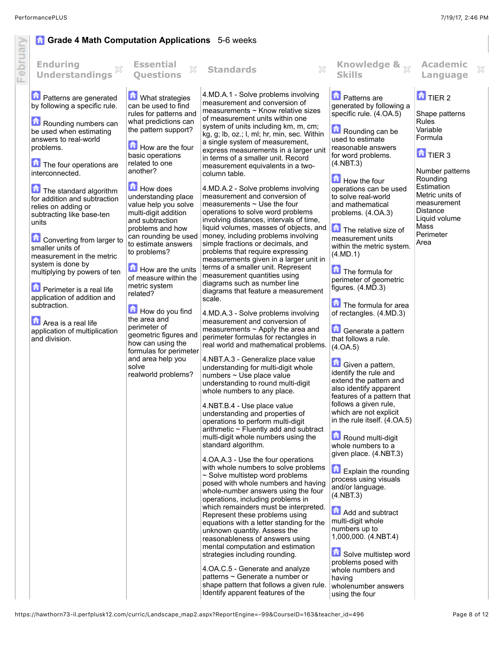## **G** Grade 4 Math Computation Applications 5-6 weeks

| ebr | <b>Enduring</b><br><b>Understandings</b>                                                                                                                                                                                                                                                                                                                                                                                                                                                                                                                                                                          | <b>Essential</b><br>X<br><b>Ouestions</b>                                                                                                                                                                                                                                                                                                                                                                                                                                                                                                                                                                                                         | ×<br><b>Standards</b>                                                                                                                                                                                                                                                                                                                                                                                                                                                                                                                                                                                                                                                                                                                                                                                                                                                                                                                                                                                                                                                                                                                                                                                                                                                                                                                                                                                                                                                                                                                                                                                                                                                                                                                                                                                                                                                                                                                                                                                                                                                                                                                                                                                                                         | Knowledge & $\frac{1}{\chi}$<br><b>Skills</b>                                                                                                                                                                                                                                                                                                                                                                                                                                                                                                                                                                                                                                                                                                                                                                                                                                                                                                                                                                                                                                                                                                    | <b>Academic</b><br>Language                                                                                                                                                                                                                      | X |
|-----|-------------------------------------------------------------------------------------------------------------------------------------------------------------------------------------------------------------------------------------------------------------------------------------------------------------------------------------------------------------------------------------------------------------------------------------------------------------------------------------------------------------------------------------------------------------------------------------------------------------------|---------------------------------------------------------------------------------------------------------------------------------------------------------------------------------------------------------------------------------------------------------------------------------------------------------------------------------------------------------------------------------------------------------------------------------------------------------------------------------------------------------------------------------------------------------------------------------------------------------------------------------------------------|-----------------------------------------------------------------------------------------------------------------------------------------------------------------------------------------------------------------------------------------------------------------------------------------------------------------------------------------------------------------------------------------------------------------------------------------------------------------------------------------------------------------------------------------------------------------------------------------------------------------------------------------------------------------------------------------------------------------------------------------------------------------------------------------------------------------------------------------------------------------------------------------------------------------------------------------------------------------------------------------------------------------------------------------------------------------------------------------------------------------------------------------------------------------------------------------------------------------------------------------------------------------------------------------------------------------------------------------------------------------------------------------------------------------------------------------------------------------------------------------------------------------------------------------------------------------------------------------------------------------------------------------------------------------------------------------------------------------------------------------------------------------------------------------------------------------------------------------------------------------------------------------------------------------------------------------------------------------------------------------------------------------------------------------------------------------------------------------------------------------------------------------------------------------------------------------------------------------------------------------------|--------------------------------------------------------------------------------------------------------------------------------------------------------------------------------------------------------------------------------------------------------------------------------------------------------------------------------------------------------------------------------------------------------------------------------------------------------------------------------------------------------------------------------------------------------------------------------------------------------------------------------------------------------------------------------------------------------------------------------------------------------------------------------------------------------------------------------------------------------------------------------------------------------------------------------------------------------------------------------------------------------------------------------------------------------------------------------------------------------------------------------------------------|--------------------------------------------------------------------------------------------------------------------------------------------------------------------------------------------------------------------------------------------------|---|
|     | Patterns are generated<br>by following a specific rule.<br>Rounding numbers can<br>be used when estimating<br>answers to real-world<br>problems.<br>The four operations are<br>interconnected.<br>亩<br>The standard algorithm<br>for addition and subtraction<br>relies on adding or<br>subtracting like base-ten<br>units<br>Converting from larger to<br>smaller units of<br>measurement in the metric<br>system is done by<br>multiplying by powers of ten<br>Perimeter is a real life<br>application of addition and<br>subtraction.<br>Area is a real life<br>application of multiplication<br>and division. | What strategies<br>can be used to find<br>rules for patterns and<br>what predictions can<br>the pattern support?<br>How are the four<br>basic operations<br>related to one<br>another?<br><b>How does</b><br>understanding place<br>value help you solve<br>multi-digit addition<br>and subtraction<br>problems and how<br>can rounding be used<br>to estimate answers<br>to problems?<br>How are the units<br>of measure within the<br>metric system<br>related?<br>How do you find<br>the area and<br>perimeter of<br>geometric figures and<br>how can using the<br>formulas for perimeter<br>and area help you<br>solve<br>realworld problems? | 4.MD.A.1 - Solve problems involving<br>measurement and conversion of<br>measurements ~ Know relative sizes<br>of measurement units within one<br>system of units including km, m, cm;<br>kg, g; lb, oz.; l, ml; hr, min, sec. Within<br>a single system of measurement,<br>express measurements in a larger unit<br>in terms of a smaller unit. Record<br>measurement equivalents in a two-<br>column table.<br>4.MD.A.2 - Solve problems involving<br>measurement and conversion of<br>measurements $\sim$ Use the four<br>operations to solve word problems<br>involving distances, intervals of time,<br>liquid volumes, masses of objects, and<br>money, including problems involving<br>simple fractions or decimals, and<br>problems that require expressing<br>measurements given in a larger unit in<br>terms of a smaller unit. Represent<br>measurement quantities using<br>diagrams such as number line<br>diagrams that feature a measurement<br>scale.<br>4.MD.A.3 - Solve problems involving<br>measurement and conversion of<br>measurements $\sim$ Apply the area and<br>perimeter formulas for rectangles in<br>real world and mathematical problems.<br>4.NBT.A.3 - Generalize place value<br>understanding for multi-digit whole<br>numbers ~ Use place value<br>understanding to round multi-digit<br>whole numbers to any place.<br>4.NBT.B.4 - Use place value<br>understanding and properties of<br>operations to perform multi-digit<br>arithmetic $\sim$ Fluently add and subtract<br>multi-digit whole numbers using the<br>standard algorithm.<br>4. OA. A. 3 - Use the four operations<br>with whole numbers to solve problems<br>$\sim$ Solve multistep word problems<br>posed with whole numbers and having<br>whole-number answers using the four<br>operations, including problems in<br>which remainders must be interpreted.<br>Represent these problems using<br>equations with a letter standing for the<br>unknown quantity. Assess the<br>reasonableness of answers using<br>mental computation and estimation<br>strategies including rounding.<br>4.OA.C.5 - Generate and analyze<br>patterns ~ Generate a number or<br>shape pattern that follows a given rule.<br>Identify apparent features of the | <b>D</b> Patterns are<br>generated by following a<br>specific rule. (4.OA.5)<br>Rounding can be<br>used to estimate<br>reasonable answers<br>for word problems.<br>(4.NBT.3)<br>How the four<br>operations can be used<br>to solve real-world<br>and mathematical<br>problems. (4.OA.3)<br>The relative size of<br>measurement units<br>within the metric system.<br>(4.MD.1)<br>The formula for<br>perimeter of geometric<br>figures. $(4.MD.3)$<br>The formula for area<br>of rectangles. (4.MD.3)<br>Generate a pattern<br>that follows a rule.<br>(4.0A.5)<br>Given a pattern,<br>identify the rule and<br>extend the pattern and<br>also identify apparent<br>features of a pattern that<br>follows a given rule,<br>which are not explicit<br>in the rule itself. (4.OA.5)<br>Round multi-digit<br>whole numbers to a<br>given place. (4.NBT.3)<br>Explain the rounding<br>process using visuals<br>and/or language.<br>(4.NBT.3)<br>Add and subtract<br>multi-digit whole<br>numbers up to<br>1,000,000. (4.NBT.4)<br>Solve multistep word<br>problems posed with<br>whole numbers and<br>having<br>wholenumber answers<br>using the four | $\blacksquare$ TIER 2<br>Shape patterns<br><b>Rules</b><br>Variable<br>Formula<br>$\overline{a}$ TIER 3<br>Number patterns<br>Rounding<br>Estimation<br>Metric units of<br>measurement<br>Distance<br>Liquid volume<br>Mass<br>Perimeter<br>Area |   |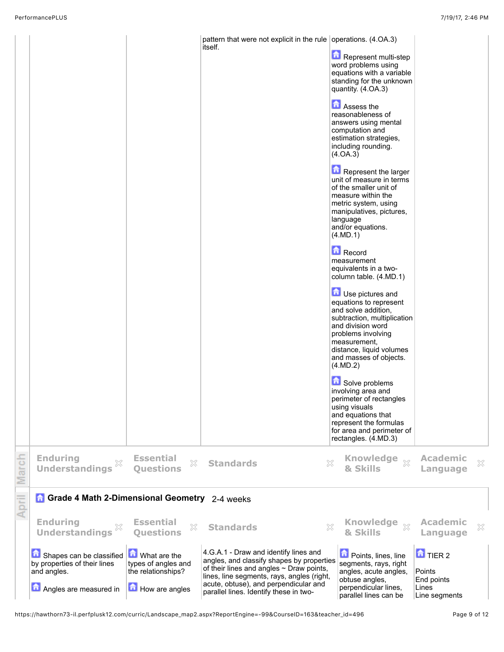|       |                                                                                                   |                                                                             | pattern that were not explicit in the rule operations. $(4.0A.3)$<br>itself.                                                                                                                                                                                         | Represent multi-step<br>word problems using<br>equations with a variable<br>standing for the unknown<br>quantity. (4.OA.3)<br>Assess the<br>reasonableness of<br>answers using mental<br>computation and<br>estimation strategies,<br>including rounding.<br>(4.0A.3)<br>Represent the larger<br>unit of measure in terms<br>of the smaller unit of<br>measure within the<br>metric system, using<br>manipulatives, pictures,<br>language<br>and/or equations.<br>(4.MD.1)<br>Record<br>measurement<br>equivalents in a two-<br>column table. (4.MD.1)<br><b>D</b> Use pictures and<br>equations to represent<br>and solve addition,<br>subtraction, multiplication<br>and division word<br>problems involving<br>measurement,<br>distance, liquid volumes<br>and masses of objects.<br>(4.MD.2)<br>Solve problems<br>involving area and<br>perimeter of rectangles<br>using visuals<br>and equations that<br>represent the formulas<br>for area and perimeter of<br>rectangles. (4.MD.3) |                                                                             |   |
|-------|---------------------------------------------------------------------------------------------------|-----------------------------------------------------------------------------|----------------------------------------------------------------------------------------------------------------------------------------------------------------------------------------------------------------------------------------------------------------------|-------------------------------------------------------------------------------------------------------------------------------------------------------------------------------------------------------------------------------------------------------------------------------------------------------------------------------------------------------------------------------------------------------------------------------------------------------------------------------------------------------------------------------------------------------------------------------------------------------------------------------------------------------------------------------------------------------------------------------------------------------------------------------------------------------------------------------------------------------------------------------------------------------------------------------------------------------------------------------------------|-----------------------------------------------------------------------------|---|
| March | <b>Enduring</b><br>×<br><b>Understandings</b>                                                     | <b>Essential</b><br>X<br><b>Ouestions</b>                                   | 53<br><b>Standards</b>                                                                                                                                                                                                                                               | Knowledge xx<br>& Skills                                                                                                                                                                                                                                                                                                                                                                                                                                                                                                                                                                                                                                                                                                                                                                                                                                                                                                                                                                  | <b>Academic</b><br>Language                                                 | × |
| April | Grade 4 Math 2-Dimensional Geometry 2-4 weeks                                                     |                                                                             |                                                                                                                                                                                                                                                                      |                                                                                                                                                                                                                                                                                                                                                                                                                                                                                                                                                                                                                                                                                                                                                                                                                                                                                                                                                                                           |                                                                             |   |
|       | <b>Enduring</b><br>×<br><b>Understandings</b>                                                     | <b>Essential</b><br>X<br><b>Ouestions</b>                                   | X<br><b>Standards</b>                                                                                                                                                                                                                                                | <b>Knowledge</b><br>$\chi$<br>& Skills                                                                                                                                                                                                                                                                                                                                                                                                                                                                                                                                                                                                                                                                                                                                                                                                                                                                                                                                                    | <b>Academic</b><br>Language                                                 | × |
|       | Shapes can be classified<br>by properties of their lines<br>and angles.<br>Angles are measured in | What are the<br>types of angles and<br>the relationships?<br>How are angles | 4.G.A.1 - Draw and identify lines and<br>angles, and classify shapes by properties<br>of their lines and angles $\sim$ Draw points,<br>lines, line segments, rays, angles (right,<br>acute, obtuse), and perpendicular and<br>parallel lines. Identify these in two- | <b>D</b> Points, lines, line<br>segments, rays, right<br>angles, acute angles,<br>obtuse angles,<br>perpendicular lines,<br>parallel lines can be                                                                                                                                                                                                                                                                                                                                                                                                                                                                                                                                                                                                                                                                                                                                                                                                                                         | $\mathbf{\hat{a}}$ TIER 2<br>Points<br>End points<br>Lines<br>Line segments |   |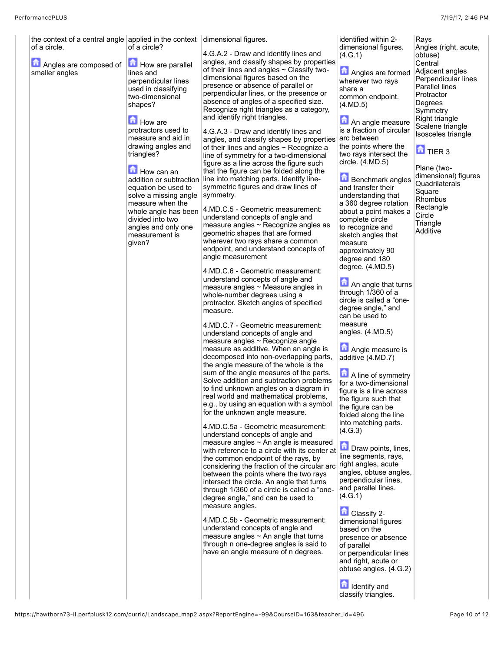| the context of a central angle applied in the context $\alpha$ dimensional figures.<br>of a circle.<br>Angles are composed of<br>smaller angles | of a circle?<br>How are parallel<br>lines and<br>perpendicular lines<br>used in classifying<br>two-dimensional<br>shapes?<br><b>How</b> are<br>protractors used to<br>measure and aid in<br>drawing angles and<br>triangles?<br>How can an<br>addition or subtraction<br>equation be used to<br>solve a missing angle<br>measure when the<br>whole angle has been<br>divided into two<br>angles and only one<br>measurement is<br>given? | 4.G.A.2 - Draw and identify lines and<br>angles, and classify shapes by properties<br>of their lines and angles $\sim$ Classify two-<br>dimensional figures based on the<br>presence or absence of parallel or<br>perpendicular lines, or the presence or<br>absence of angles of a specified size.<br>Recognize right triangles as a category,<br>and identify right triangles.<br>4.G.A.3 - Draw and identify lines and<br>angles, and classify shapes by properties<br>of their lines and angles $\sim$ Recognize a<br>line of symmetry for a two-dimensional<br>figure as a line across the figure such<br>that the figure can be folded along the<br>line into matching parts. Identify line-<br>symmetric figures and draw lines of<br>symmetry.<br>4.MD.C.5 - Geometric measurement:<br>understand concepts of angle and<br>measure angles ~ Recognize angles as<br>geometric shapes that are formed<br>wherever two rays share a common<br>endpoint, and understand concepts of<br>angle measurement<br>4.MD.C.6 - Geometric measurement:<br>understand concepts of angle and<br>measure angles $\sim$ Measure angles in<br>whole-number degrees using a<br>protractor. Sketch angles of specified<br>measure.<br>4.MD.C.7 - Geometric measurement:<br>understand concepts of angle and<br>measure angles ~ Recognize angle<br>measure as additive. When an angle is<br>decomposed into non-overlapping parts,<br>the angle measure of the whole is the<br>sum of the angle measures of the parts.<br>Solve addition and subtraction problems<br>to find unknown angles on a diagram in<br>real world and mathematical problems.<br>e.g., by using an equation with a symbol<br>for the unknown angle measure.<br>4.MD.C.5a - Geometric measurement: | identified within 2-<br>dimensional figures.<br>(4.G.1)<br>Angles are formed<br>wherever two rays<br>share a<br>common endpoint.<br>(4.MD.5)<br>An angle measure<br>is a fraction of circular<br>arc between<br>the points where the<br>two rays intersect the<br>circle. (4.MD.5)<br><b>Benchmark</b> angles<br>and transfer their<br>understanding that<br>a 360 degree rotation<br>about a point makes a<br>complete circle<br>to recognize and<br>sketch angles that<br>measure<br>approximately 90<br>degree and 180<br>degree. $(4.MD.5)$<br>An angle that turns<br>through 1/360 of a<br>circle is called a "one-<br>degree angle," and<br>can be used to<br>measure<br>angles. $(4.MD.5)$<br>Angle measure is<br>additive (4.MD.7)<br>A line of symmetry<br>for a two-dimensional<br>figure is a line across<br>the figure such that<br>the figure can be<br>folded along the line<br>into matching parts. | Rays<br>Angles (right, acute,<br>obtuse)<br>Central<br>Adjacent angles<br>Perpendicular lines<br>Parallel lines<br>Protractor<br>Degrees<br>Symmetry<br>Right triangle<br>Scalene triangle<br>Isosceles triangle<br>$\mathbf{a}$ TIER 3<br>Plane (two-<br>dimensional) figures<br>Quadrilaterals<br>Square<br>Rhombus<br>Rectangle<br>Circle<br>Triangle<br>Additive |
|-------------------------------------------------------------------------------------------------------------------------------------------------|------------------------------------------------------------------------------------------------------------------------------------------------------------------------------------------------------------------------------------------------------------------------------------------------------------------------------------------------------------------------------------------------------------------------------------------|--------------------------------------------------------------------------------------------------------------------------------------------------------------------------------------------------------------------------------------------------------------------------------------------------------------------------------------------------------------------------------------------------------------------------------------------------------------------------------------------------------------------------------------------------------------------------------------------------------------------------------------------------------------------------------------------------------------------------------------------------------------------------------------------------------------------------------------------------------------------------------------------------------------------------------------------------------------------------------------------------------------------------------------------------------------------------------------------------------------------------------------------------------------------------------------------------------------------------------------------------------------------------------------------------------------------------------------------------------------------------------------------------------------------------------------------------------------------------------------------------------------------------------------------------------------------------------------------------------------------------------------------------------------------------------------------------------------------------------------------------------------|--------------------------------------------------------------------------------------------------------------------------------------------------------------------------------------------------------------------------------------------------------------------------------------------------------------------------------------------------------------------------------------------------------------------------------------------------------------------------------------------------------------------------------------------------------------------------------------------------------------------------------------------------------------------------------------------------------------------------------------------------------------------------------------------------------------------------------------------------------------------------------------------------------------------|----------------------------------------------------------------------------------------------------------------------------------------------------------------------------------------------------------------------------------------------------------------------------------------------------------------------------------------------------------------------|
|                                                                                                                                                 |                                                                                                                                                                                                                                                                                                                                                                                                                                          |                                                                                                                                                                                                                                                                                                                                                                                                                                                                                                                                                                                                                                                                                                                                                                                                                                                                                                                                                                                                                                                                                                                                                                                                                                                                                                                                                                                                                                                                                                                                                                                                                                                                                                                                                              |                                                                                                                                                                                                                                                                                                                                                                                                                                                                                                                                                                                                                                                                                                                                                                                                                                                                                                                    |                                                                                                                                                                                                                                                                                                                                                                      |
|                                                                                                                                                 |                                                                                                                                                                                                                                                                                                                                                                                                                                          |                                                                                                                                                                                                                                                                                                                                                                                                                                                                                                                                                                                                                                                                                                                                                                                                                                                                                                                                                                                                                                                                                                                                                                                                                                                                                                                                                                                                                                                                                                                                                                                                                                                                                                                                                              |                                                                                                                                                                                                                                                                                                                                                                                                                                                                                                                                                                                                                                                                                                                                                                                                                                                                                                                    |                                                                                                                                                                                                                                                                                                                                                                      |
|                                                                                                                                                 |                                                                                                                                                                                                                                                                                                                                                                                                                                          |                                                                                                                                                                                                                                                                                                                                                                                                                                                                                                                                                                                                                                                                                                                                                                                                                                                                                                                                                                                                                                                                                                                                                                                                                                                                                                                                                                                                                                                                                                                                                                                                                                                                                                                                                              |                                                                                                                                                                                                                                                                                                                                                                                                                                                                                                                                                                                                                                                                                                                                                                                                                                                                                                                    |                                                                                                                                                                                                                                                                                                                                                                      |
|                                                                                                                                                 |                                                                                                                                                                                                                                                                                                                                                                                                                                          |                                                                                                                                                                                                                                                                                                                                                                                                                                                                                                                                                                                                                                                                                                                                                                                                                                                                                                                                                                                                                                                                                                                                                                                                                                                                                                                                                                                                                                                                                                                                                                                                                                                                                                                                                              |                                                                                                                                                                                                                                                                                                                                                                                                                                                                                                                                                                                                                                                                                                                                                                                                                                                                                                                    |                                                                                                                                                                                                                                                                                                                                                                      |
|                                                                                                                                                 |                                                                                                                                                                                                                                                                                                                                                                                                                                          |                                                                                                                                                                                                                                                                                                                                                                                                                                                                                                                                                                                                                                                                                                                                                                                                                                                                                                                                                                                                                                                                                                                                                                                                                                                                                                                                                                                                                                                                                                                                                                                                                                                                                                                                                              |                                                                                                                                                                                                                                                                                                                                                                                                                                                                                                                                                                                                                                                                                                                                                                                                                                                                                                                    |                                                                                                                                                                                                                                                                                                                                                                      |
|                                                                                                                                                 |                                                                                                                                                                                                                                                                                                                                                                                                                                          | understand concepts of angle and<br>measure angles $\sim$ An angle is measured<br>with reference to a circle with its center at                                                                                                                                                                                                                                                                                                                                                                                                                                                                                                                                                                                                                                                                                                                                                                                                                                                                                                                                                                                                                                                                                                                                                                                                                                                                                                                                                                                                                                                                                                                                                                                                                              | (4.G.3)<br>Draw points, lines,                                                                                                                                                                                                                                                                                                                                                                                                                                                                                                                                                                                                                                                                                                                                                                                                                                                                                     |                                                                                                                                                                                                                                                                                                                                                                      |
|                                                                                                                                                 |                                                                                                                                                                                                                                                                                                                                                                                                                                          | the common endpoint of the rays, by<br>considering the fraction of the circular arc<br>between the points where the two rays<br>intersect the circle. An angle that turns<br>through 1/360 of a circle is called a "one-<br>degree angle," and can be used to                                                                                                                                                                                                                                                                                                                                                                                                                                                                                                                                                                                                                                                                                                                                                                                                                                                                                                                                                                                                                                                                                                                                                                                                                                                                                                                                                                                                                                                                                                | line segments, rays,<br>right angles, acute<br>angles, obtuse angles,<br>perpendicular lines,<br>and parallel lines.<br>(4.G.1)                                                                                                                                                                                                                                                                                                                                                                                                                                                                                                                                                                                                                                                                                                                                                                                    |                                                                                                                                                                                                                                                                                                                                                                      |
|                                                                                                                                                 |                                                                                                                                                                                                                                                                                                                                                                                                                                          | measure angles.<br>4.MD.C.5b - Geometric measurement:<br>understand concepts of angle and<br>measure angles $\sim$ An angle that turns<br>through n one-degree angles is said to                                                                                                                                                                                                                                                                                                                                                                                                                                                                                                                                                                                                                                                                                                                                                                                                                                                                                                                                                                                                                                                                                                                                                                                                                                                                                                                                                                                                                                                                                                                                                                             | Classify 2-<br>dimensional figures<br>based on the<br>presence or absence<br>of parallel                                                                                                                                                                                                                                                                                                                                                                                                                                                                                                                                                                                                                                                                                                                                                                                                                           |                                                                                                                                                                                                                                                                                                                                                                      |
|                                                                                                                                                 |                                                                                                                                                                                                                                                                                                                                                                                                                                          | have an angle measure of n degrees.                                                                                                                                                                                                                                                                                                                                                                                                                                                                                                                                                                                                                                                                                                                                                                                                                                                                                                                                                                                                                                                                                                                                                                                                                                                                                                                                                                                                                                                                                                                                                                                                                                                                                                                          | or perpendicular lines<br>and right, acute or<br>obtuse angles. (4.G.2)                                                                                                                                                                                                                                                                                                                                                                                                                                                                                                                                                                                                                                                                                                                                                                                                                                            |                                                                                                                                                                                                                                                                                                                                                                      |